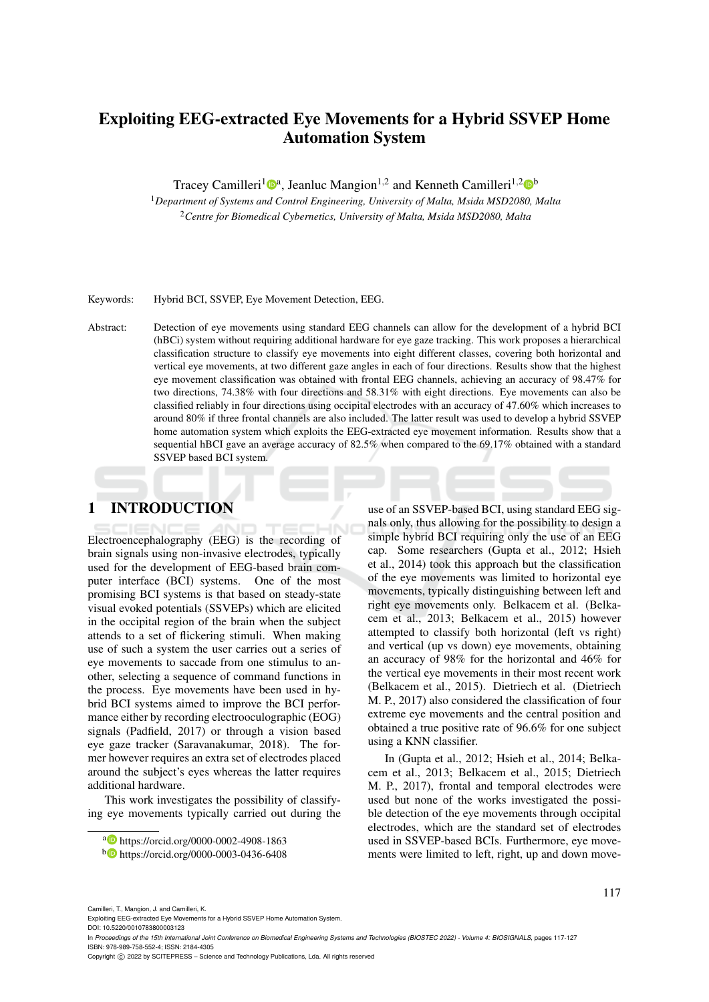# Exploiting EEG-extracted Eye Movements for a Hybrid SSVEP Home Automation System

Tracey Camilleri<sup>1</sup><sup>®</sup>ª, Jeanluc Mangion<sup>1,2</sup> and Kenneth Camilleri<sup>1,2</sup><sup>®</sup>

<sup>1</sup>*Department of Systems and Control Engineering, University of Malta, Msida MSD2080, Malta* <sup>2</sup>*Centre for Biomedical Cybernetics, University of Malta, Msida MSD2080, Malta*

Keywords: Hybrid BCI, SSVEP, Eye Movement Detection, EEG.

Abstract: Detection of eye movements using standard EEG channels can allow for the development of a hybrid BCI (hBCi) system without requiring additional hardware for eye gaze tracking. This work proposes a hierarchical classification structure to classify eye movements into eight different classes, covering both horizontal and vertical eye movements, at two different gaze angles in each of four directions. Results show that the highest eye movement classification was obtained with frontal EEG channels, achieving an accuracy of 98.47% for two directions, 74.38% with four directions and 58.31% with eight directions. Eye movements can also be classified reliably in four directions using occipital electrodes with an accuracy of 47.60% which increases to around 80% if three frontal channels are also included. The latter result was used to develop a hybrid SSVEP home automation system which exploits the EEG-extracted eye movement information. Results show that a sequential hBCI gave an average accuracy of 82.5% when compared to the 69.17% obtained with a standard SSVEP based BCI system.

# 1 INTRODUCTION

Electroencephalography (EEG) is the recording of brain signals using non-invasive electrodes, typically used for the development of EEG-based brain computer interface (BCI) systems. One of the most promising BCI systems is that based on steady-state visual evoked potentials (SSVEPs) which are elicited in the occipital region of the brain when the subject attends to a set of flickering stimuli. When making use of such a system the user carries out a series of eye movements to saccade from one stimulus to another, selecting a sequence of command functions in the process. Eye movements have been used in hybrid BCI systems aimed to improve the BCI performance either by recording electrooculographic (EOG) signals (Padfield, 2017) or through a vision based eye gaze tracker (Saravanakumar, 2018). The former however requires an extra set of electrodes placed around the subject's eyes whereas the latter requires additional hardware.

This work investigates the possibility of classifying eye movements typically carried out during the

use of an SSVEP-based BCI, using standard EEG signals only, thus allowing for the possibility to design a simple hybrid BCI requiring only the use of an EEG cap. Some researchers (Gupta et al., 2012; Hsieh et al., 2014) took this approach but the classification of the eye movements was limited to horizontal eye movements, typically distinguishing between left and right eye movements only. Belkacem et al. (Belkacem et al., 2013; Belkacem et al., 2015) however attempted to classify both horizontal (left vs right) and vertical (up vs down) eye movements, obtaining an accuracy of 98% for the horizontal and 46% for the vertical eye movements in their most recent work (Belkacem et al., 2015). Dietriech et al. (Dietriech M. P., 2017) also considered the classification of four extreme eye movements and the central position and obtained a true positive rate of 96.6% for one subject using a KNN classifier.

In (Gupta et al., 2012; Hsieh et al., 2014; Belkacem et al., 2013; Belkacem et al., 2015; Dietriech M. P., 2017), frontal and temporal electrodes were used but none of the works investigated the possible detection of the eye movements through occipital electrodes, which are the standard set of electrodes used in SSVEP-based BCIs. Furthermore, eye movements were limited to left, right, up and down move-

Camilleri, T., Mangion, J. and Camilleri, K.

Exploiting EEG-extracted Eye Movements for a Hybrid SSVEP Home Automation System.

DOI: 10.5220/0010783800003123

In *Proceedings of the 15th International Joint Conference on Biomedical Engineering Systems and Technologies (BIOSTEC 2022) - Volume 4: BIOSIGNALS*, pages 117-127 ISBN: 978-989-758-552-4; ISSN: 2184-4305

<sup>a</sup> https://orcid.org/0000-0002-4908-1863

<sup>b</sup> https://orcid.org/0000-0003-0436-6408

Copyright (C) 2022 by SCITEPRESS - Science and Technology Publications, Lda. All rights reserved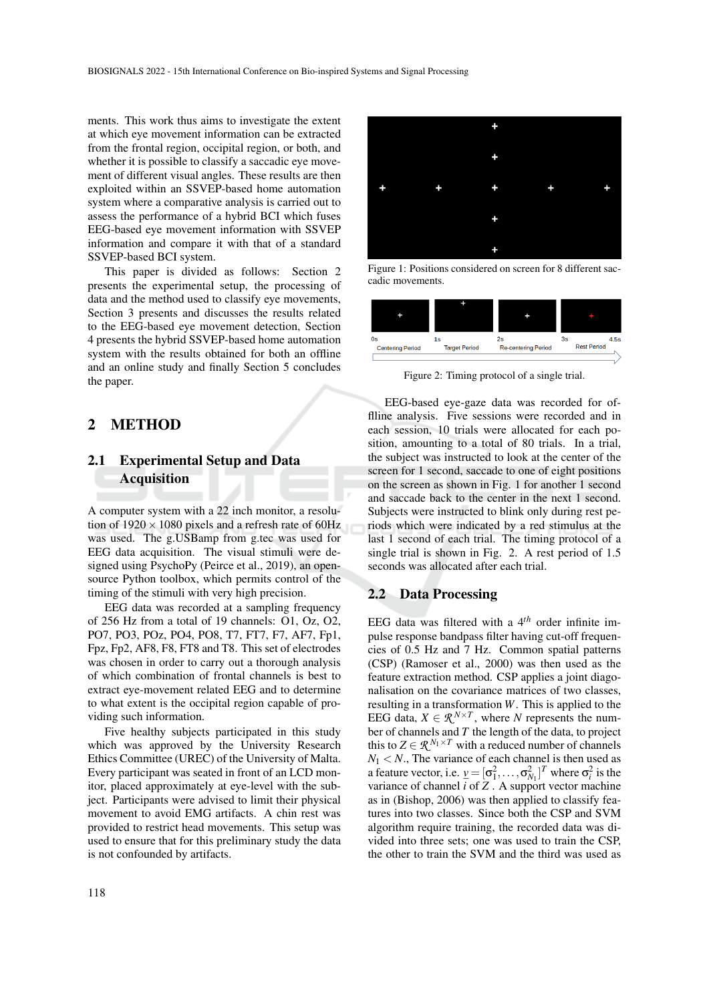ments. This work thus aims to investigate the extent at which eye movement information can be extracted from the frontal region, occipital region, or both, and whether it is possible to classify a saccadic eye movement of different visual angles. These results are then exploited within an SSVEP-based home automation system where a comparative analysis is carried out to assess the performance of a hybrid BCI which fuses EEG-based eye movement information with SSVEP information and compare it with that of a standard SSVEP-based BCI system.

This paper is divided as follows: Section 2 presents the experimental setup, the processing of data and the method used to classify eye movements, Section 3 presents and discusses the results related to the EEG-based eye movement detection, Section 4 presents the hybrid SSVEP-based home automation system with the results obtained for both an offline and an online study and finally Section 5 concludes the paper.

## 2 METHOD

# 2.1 Experimental Setup and Data Acquisition

A computer system with a 22 inch monitor, a resolution of  $1920 \times 1080$  pixels and a refresh rate of 60Hz was used. The g.USBamp from g.tec was used for EEG data acquisition. The visual stimuli were designed using PsychoPy (Peirce et al., 2019), an opensource Python toolbox, which permits control of the timing of the stimuli with very high precision.

EEG data was recorded at a sampling frequency of 256 Hz from a total of 19 channels: O1, Oz, O2, PO7, PO3, POz, PO4, PO8, T7, FT7, F7, AF7, Fp1, Fpz, Fp2, AF8, F8, FT8 and T8. This set of electrodes was chosen in order to carry out a thorough analysis of which combination of frontal channels is best to extract eye-movement related EEG and to determine to what extent is the occipital region capable of providing such information.

Five healthy subjects participated in this study which was approved by the University Research Ethics Committee (UREC) of the University of Malta. Every participant was seated in front of an LCD monitor, placed approximately at eye-level with the subject. Participants were advised to limit their physical movement to avoid EMG artifacts. A chin rest was provided to restrict head movements. This setup was used to ensure that for this preliminary study the data is not confounded by artifacts.



Figure 1: Positions considered on screen for 8 different saccadic movements.



Figure 2: Timing protocol of a single trial.

EEG-based eye-gaze data was recorded for offlline analysis. Five sessions were recorded and in each session, 10 trials were allocated for each position, amounting to a total of 80 trials. In a trial, the subject was instructed to look at the center of the screen for 1 second, saccade to one of eight positions on the screen as shown in Fig. 1 for another 1 second and saccade back to the center in the next 1 second. Subjects were instructed to blink only during rest periods which were indicated by a red stimulus at the last 1 second of each trial. The timing protocol of a single trial is shown in Fig. 2. A rest period of 1.5 seconds was allocated after each trial.

#### 2.2 Data Processing

EEG data was filtered with a 4*th* order infinite impulse response bandpass filter having cut-off frequencies of 0.5 Hz and 7 Hz. Common spatial patterns (CSP) (Ramoser et al., 2000) was then used as the feature extraction method. CSP applies a joint diagonalisation on the covariance matrices of two classes, resulting in a transformation *W*. This is applied to the EEG data,  $X \in \mathbb{R}^{N \times T}$ , where *N* represents the number of channels and *T* the length of the data, to project this to  $Z \in \mathcal{R}^{N_1 \times T}$  with a reduced number of channels  $N_1$  < *N*., The variance of each channel is then used as a feature vector, i.e.  $\underline{v} = [\sigma_1^2, \dots, \sigma_{N_1}^2]^T$  where  $\sigma_i^2$  is the variance of channel *i* of *Z* . A support vector machine as in (Bishop, 2006) was then applied to classify features into two classes. Since both the CSP and SVM algorithm require training, the recorded data was divided into three sets; one was used to train the CSP, the other to train the SVM and the third was used as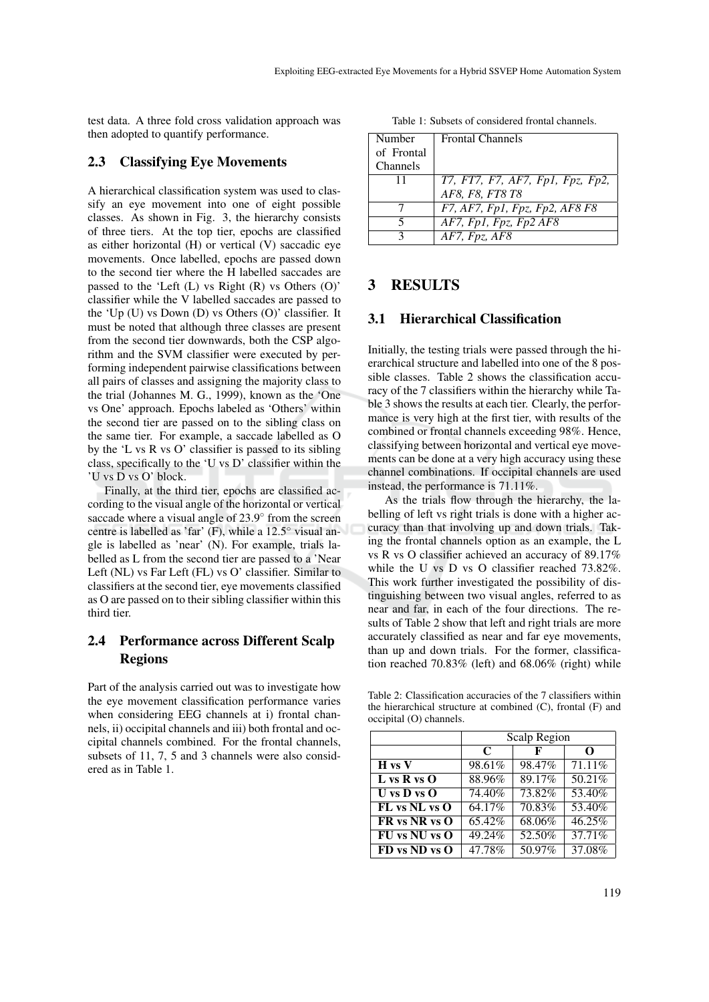test data. A three fold cross validation approach was then adopted to quantify performance.

### 2.3 Classifying Eye Movements

A hierarchical classification system was used to classify an eye movement into one of eight possible classes. As shown in Fig. 3, the hierarchy consists of three tiers. At the top tier, epochs are classified as either horizontal (H) or vertical (V) saccadic eye movements. Once labelled, epochs are passed down to the second tier where the H labelled saccades are passed to the 'Left (L) vs Right (R) vs Others (O)' classifier while the V labelled saccades are passed to the 'Up (U) vs Down (D) vs Others (O)' classifier. It must be noted that although three classes are present from the second tier downwards, both the CSP algorithm and the SVM classifier were executed by performing independent pairwise classifications between all pairs of classes and assigning the majority class to the trial (Johannes M. G., 1999), known as the 'One vs One' approach. Epochs labeled as 'Others' within the second tier are passed on to the sibling class on the same tier. For example, a saccade labelled as O by the 'L vs R vs O' classifier is passed to its sibling class, specifically to the 'U vs D' classifier within the 'U vs D vs O' block.

Finally, at the third tier, epochs are classified according to the visual angle of the horizontal or vertical saccade where a visual angle of 23.9° from the screen centre is labelled as 'far' (F), while a 12.5◦ visual angle is labelled as 'near' (N). For example, trials labelled as L from the second tier are passed to a 'Near Left (NL) vs Far Left (FL) vs O' classifier. Similar to classifiers at the second tier, eye movements classified as O are passed on to their sibling classifier within this third tier.

# 2.4 Performance across Different Scalp Regions

Part of the analysis carried out was to investigate how the eye movement classification performance varies when considering EEG channels at i) frontal channels, ii) occipital channels and iii) both frontal and occipital channels combined. For the frontal channels, subsets of 11, 7, 5 and 3 channels were also considered as in Table 1.

Table 1: Subsets of considered frontal channels.

| Number     | <b>Frontal Channels</b>          |
|------------|----------------------------------|
| of Frontal |                                  |
| Channels   |                                  |
| 11         | T7, FT7, F7, AF7, Fp1, Fpz, Fp2, |
|            | AF8, F8, FT8 T8                  |
|            | F7, AF7, Fp1, Fpz, Fp2, AF8 F8   |
|            | AF7, Fp1, Fpz, Fp2 AF8           |
|            | AF7, Fpz, AF8                    |

## 3 RESULTS

### 3.1 Hierarchical Classification

Initially, the testing trials were passed through the hierarchical structure and labelled into one of the 8 possible classes. Table 2 shows the classification accuracy of the 7 classifiers within the hierarchy while Table 3 shows the results at each tier. Clearly, the performance is very high at the first tier, with results of the combined or frontal channels exceeding 98%. Hence, classifying between horizontal and vertical eye movements can be done at a very high accuracy using these channel combinations. If occipital channels are used instead, the performance is 71.11%.

As the trials flow through the hierarchy, the labelling of left vs right trials is done with a higher accuracy than that involving up and down trials. Taking the frontal channels option as an example, the L vs R vs O classifier achieved an accuracy of 89.17% while the U vs D vs O classifier reached 73.82%. This work further investigated the possibility of distinguishing between two visual angles, referred to as near and far, in each of the four directions. The results of Table 2 show that left and right trials are more accurately classified as near and far eye movements, than up and down trials. For the former, classification reached 70.83% (left) and 68.06% (right) while

Table 2: Classification accuracies of the 7 classifiers within the hierarchical structure at combined (C), frontal (F) and occipital (O) channels.

|                   | Scalp Region |        |        |  |  |
|-------------------|--------------|--------|--------|--|--|
|                   | C            | F      | O      |  |  |
| H vs V            | 98.61%       | 98.47% | 71.11% |  |  |
| $L$ vs R vs O     | 88.96%       | 89.17% | 50.21% |  |  |
| $U$ vs $D$ vs $O$ | 74.40%       | 73.82% | 53.40% |  |  |
| FL vs NL vs O     | 64.17%       | 70.83% | 53.40% |  |  |
| FR vs NR vs O     | 65.42%       | 68.06% | 46.25% |  |  |
| FU vs NU vs O     | 49.24%       | 52.50% | 37.71% |  |  |
| FD vs ND vs O     | 47.78%       | 50.97% | 37.08% |  |  |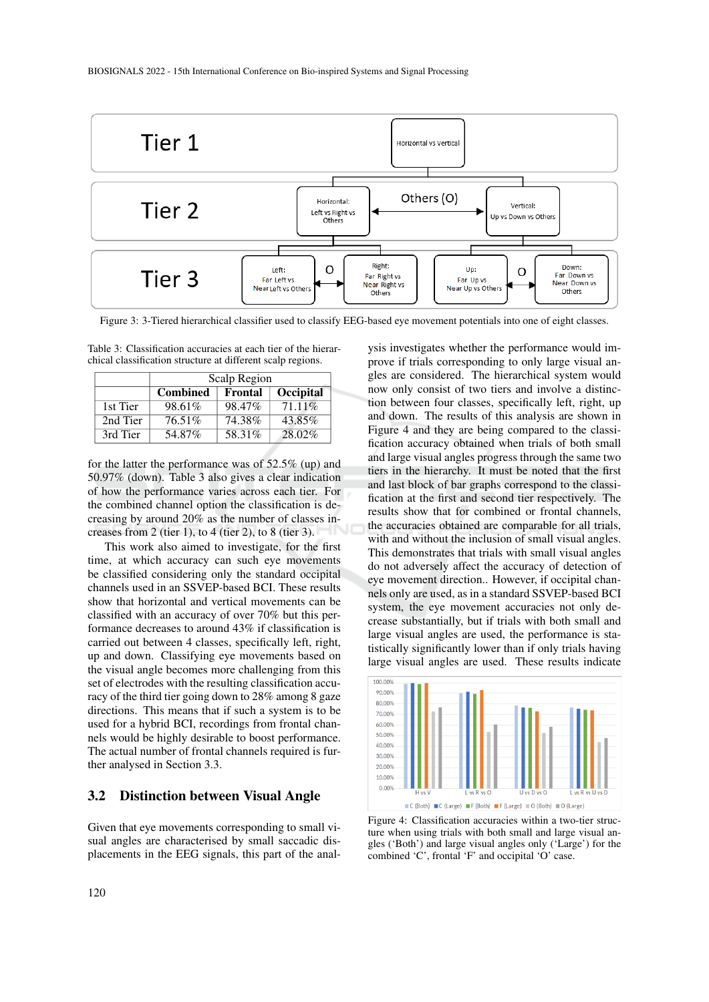

Figure 3: 3-Tiered hierarchical classifier used to classify EEG-based eye movement potentials into one of eight classes.

Table 3: Classification accuracies at each tier of the hierarchical classification structure at different scalp regions.

|          | Scalp Region    |         |           |  |  |
|----------|-----------------|---------|-----------|--|--|
|          | <b>Combined</b> | Frontal | Occipital |  |  |
| 1st Tier | 98.61%          | 98.47%  | 71.11\%   |  |  |
| 2nd Tier | 76.51%          | 74.38%  | 43.85%    |  |  |
| 3rd Tier | 54.87%          | 58.31%  | 28.02%    |  |  |

for the latter the performance was of 52.5% (up) and 50.97% (down). Table 3 also gives a clear indication of how the performance varies across each tier. For the combined channel option the classification is decreasing by around 20% as the number of classes increases from 2 (tier 1), to 4 (tier 2), to 8 (tier 3).

This work also aimed to investigate, for the first time, at which accuracy can such eye movements be classified considering only the standard occipital channels used in an SSVEP-based BCI. These results show that horizontal and vertical movements can be classified with an accuracy of over 70% but this performance decreases to around 43% if classification is carried out between 4 classes, specifically left, right, up and down. Classifying eye movements based on the visual angle becomes more challenging from this set of electrodes with the resulting classification accuracy of the third tier going down to 28% among 8 gaze directions. This means that if such a system is to be used for a hybrid BCI, recordings from frontal channels would be highly desirable to boost performance. The actual number of frontal channels required is further analysed in Section 3.3.

### 3.2 Distinction between Visual Angle

Given that eye movements corresponding to small visual angles are characterised by small saccadic displacements in the EEG signals, this part of the analysis investigates whether the performance would improve if trials corresponding to only large visual angles are considered. The hierarchical system would now only consist of two tiers and involve a distinction between four classes, specifically left, right, up and down. The results of this analysis are shown in Figure 4 and they are being compared to the classification accuracy obtained when trials of both small and large visual angles progress through the same two tiers in the hierarchy. It must be noted that the first and last block of bar graphs correspond to the classification at the first and second tier respectively. The results show that for combined or frontal channels, the accuracies obtained are comparable for all trials, with and without the inclusion of small visual angles. This demonstrates that trials with small visual angles do not adversely affect the accuracy of detection of eye movement direction.. However, if occipital channels only are used, as in a standard SSVEP-based BCI system, the eye movement accuracies not only decrease substantially, but if trials with both small and large visual angles are used, the performance is statistically significantly lower than if only trials having large visual angles are used. These results indicate



Figure 4: Classification accuracies within a two-tier structure when using trials with both small and large visual angles ('Both') and large visual angles only ('Large') for the combined 'C', frontal 'F' and occipital 'O' case.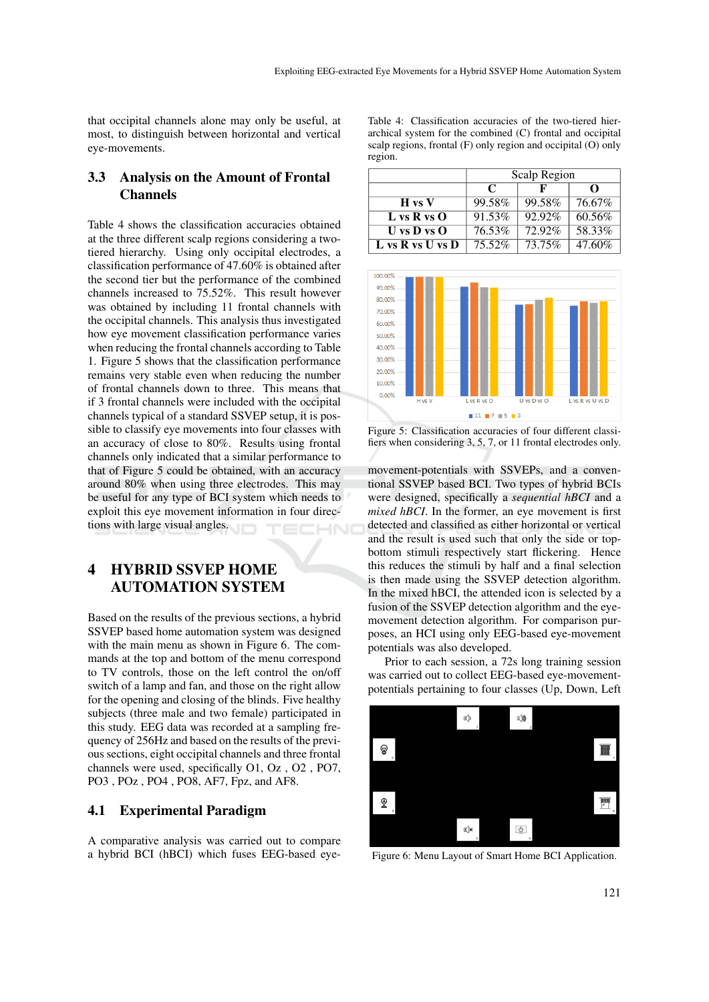that occipital channels alone may only be useful, at most, to distinguish between horizontal and vertical eye-movements.

# 3.3 Analysis on the Amount of Frontal **Channels**

Table 4 shows the classification accuracies obtained at the three different scalp regions considering a twotiered hierarchy. Using only occipital electrodes, a classification performance of 47.60% is obtained after the second tier but the performance of the combined channels increased to 75.52%. This result however was obtained by including 11 frontal channels with the occipital channels. This analysis thus investigated how eye movement classification performance varies when reducing the frontal channels according to Table 1. Figure 5 shows that the classification performance remains very stable even when reducing the number of frontal channels down to three. This means that if 3 frontal channels were included with the occipital channels typical of a standard SSVEP setup, it is possible to classify eye movements into four classes with an accuracy of close to 80%. Results using frontal channels only indicated that a similar performance to that of Figure 5 could be obtained, with an accuracy around 80% when using three electrodes. This may be useful for any type of BCI system which needs to exploit this eye movement information in four directions with large visual angles.

# 4 HYBRID SSVEP HOME AUTOMATION SYSTEM

Based on the results of the previous sections, a hybrid SSVEP based home automation system was designed with the main menu as shown in Figure 6. The commands at the top and bottom of the menu correspond to TV controls, those on the left control the on/off switch of a lamp and fan, and those on the right allow for the opening and closing of the blinds. Five healthy subjects (three male and two female) participated in this study. EEG data was recorded at a sampling frequency of 256Hz and based on the results of the previous sections, eight occipital channels and three frontal channels were used, specifically O1, Oz , O2 , PO7, PO3 , POz , PO4 , PO8, AF7, Fpz, and AF8.

## 4.1 Experimental Paradigm

A comparative analysis was carried out to compare a hybrid BCI (hBCI) which fuses EEG-based eyeTable 4: Classification accuracies of the two-tiered hierarchical system for the combined (C) frontal and occipital scalp regions, frontal (F) only region and occipital (O) only region.

|                   | Scalp Region |        |        |  |
|-------------------|--------------|--------|--------|--|
|                   | $\mathbf C$  | ĸ      | റ      |  |
| $H$ vs $V$        | 99.58%       | 99.58% | 76.67% |  |
| $L$ vs R vs O     | 91.53%       | 92.92% | 60.56% |  |
| $U$ vs $D$ vs $O$ | 76.53%       | 72.92% | 58.33% |  |
| L vs R vs U vs D  | 75.52%       | 73.75% | 47.60% |  |



Figure 5: Classification accuracies of four different classifiers when considering 3, 5, 7, or 11 frontal electrodes only.

movement-potentials with SSVEPs, and a conventional SSVEP based BCI. Two types of hybrid BCIs were designed, specifically a *sequential hBCI* and a *mixed hBCI*. In the former, an eye movement is first detected and classified as either horizontal or vertical and the result is used such that only the side or topbottom stimuli respectively start flickering. Hence this reduces the stimuli by half and a final selection is then made using the SSVEP detection algorithm. In the mixed hBCI, the attended icon is selected by a fusion of the SSVEP detection algorithm and the eyemovement detection algorithm. For comparison purposes, an HCI using only EEG-based eye-movement potentials was also developed.

Prior to each session, a 72s long training session was carried out to collect EEG-based eye-movementpotentials pertaining to four classes (Up, Down, Left



Figure 6: Menu Layout of Smart Home BCI Application.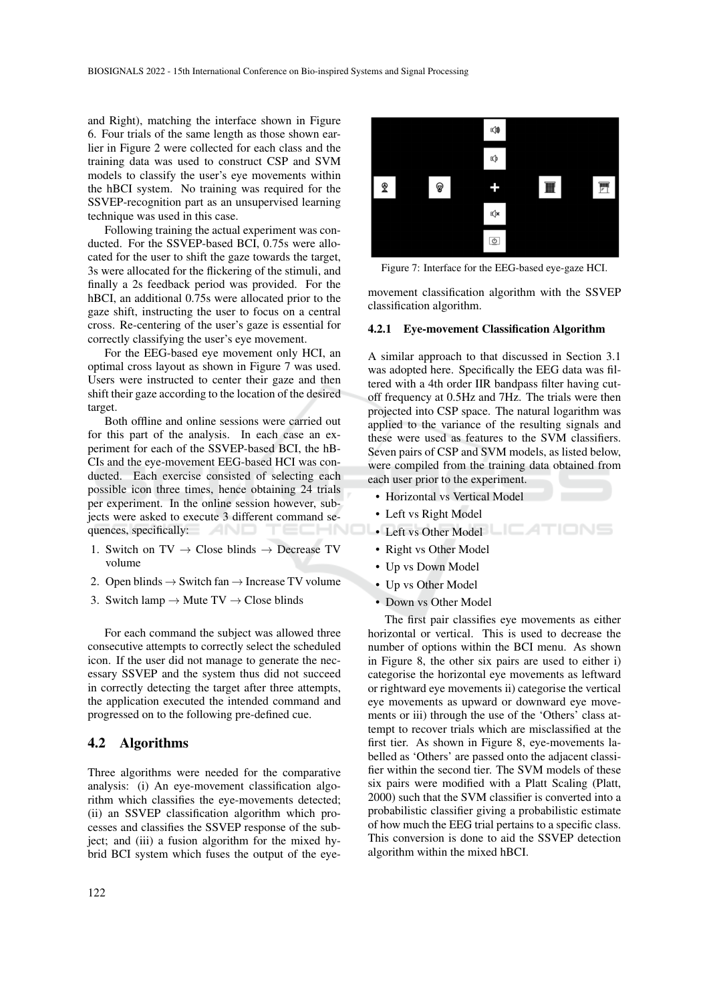and Right), matching the interface shown in Figure 6. Four trials of the same length as those shown earlier in Figure 2 were collected for each class and the training data was used to construct CSP and SVM models to classify the user's eye movements within the hBCI system. No training was required for the SSVEP-recognition part as an unsupervised learning technique was used in this case.

Following training the actual experiment was conducted. For the SSVEP-based BCI, 0.75s were allocated for the user to shift the gaze towards the target, 3s were allocated for the flickering of the stimuli, and finally a 2s feedback period was provided. For the hBCI, an additional 0.75s were allocated prior to the gaze shift, instructing the user to focus on a central cross. Re-centering of the user's gaze is essential for correctly classifying the user's eye movement.

For the EEG-based eye movement only HCI, an optimal cross layout as shown in Figure 7 was used. Users were instructed to center their gaze and then shift their gaze according to the location of the desired target.

Both offline and online sessions were carried out for this part of the analysis. In each case an experiment for each of the SSVEP-based BCI, the hB-CIs and the eye-movement EEG-based HCI was conducted. Each exercise consisted of selecting each possible icon three times, hence obtaining 24 trials per experiment. In the online session however, subjects were asked to execute 3 different command sequences, specifically: AND

- 1. Switch on TV  $\rightarrow$  Close blinds  $\rightarrow$  Decrease TV volume
- 2. Open blinds  $\rightarrow$  Switch fan  $\rightarrow$  Increase TV volume
- 3. Switch lamp  $\rightarrow$  Mute TV  $\rightarrow$  Close blinds

For each command the subject was allowed three consecutive attempts to correctly select the scheduled icon. If the user did not manage to generate the necessary SSVEP and the system thus did not succeed in correctly detecting the target after three attempts, the application executed the intended command and progressed on to the following pre-defined cue.

#### 4.2 Algorithms

Three algorithms were needed for the comparative analysis: (i) An eye-movement classification algorithm which classifies the eye-movements detected; (ii) an SSVEP classification algorithm which processes and classifies the SSVEP response of the subject; and (iii) a fusion algorithm for the mixed hybrid BCI system which fuses the output of the eye-



Figure 7: Interface for the EEG-based eye-gaze HCI.

movement classification algorithm with the SSVEP classification algorithm.

#### 4.2.1 Eye-movement Classification Algorithm

A similar approach to that discussed in Section 3.1 was adopted here. Specifically the EEG data was filtered with a 4th order IIR bandpass filter having cutoff frequency at 0.5Hz and 7Hz. The trials were then projected into CSP space. The natural logarithm was applied to the variance of the resulting signals and these were used as features to the SVM classifiers. Seven pairs of CSP and SVM models, as listed below, were compiled from the training data obtained from each user prior to the experiment.

- Horizontal vs Vertical Model
- Left vs Right Model
- **Left vs Other Model LIGHTIC NS** 
	- Right vs Other Model
	- Up vs Down Model
	- Up vs Other Model
	- Down vs Other Model

The first pair classifies eye movements as either horizontal or vertical. This is used to decrease the number of options within the BCI menu. As shown in Figure 8, the other six pairs are used to either i) categorise the horizontal eye movements as leftward or rightward eye movements ii) categorise the vertical eye movements as upward or downward eye movements or iii) through the use of the 'Others' class attempt to recover trials which are misclassified at the first tier. As shown in Figure 8, eye-movements labelled as 'Others' are passed onto the adjacent classifier within the second tier. The SVM models of these six pairs were modified with a Platt Scaling (Platt, 2000) such that the SVM classifier is converted into a probabilistic classifier giving a probabilistic estimate of how much the EEG trial pertains to a specific class. This conversion is done to aid the SSVEP detection algorithm within the mixed hBCI.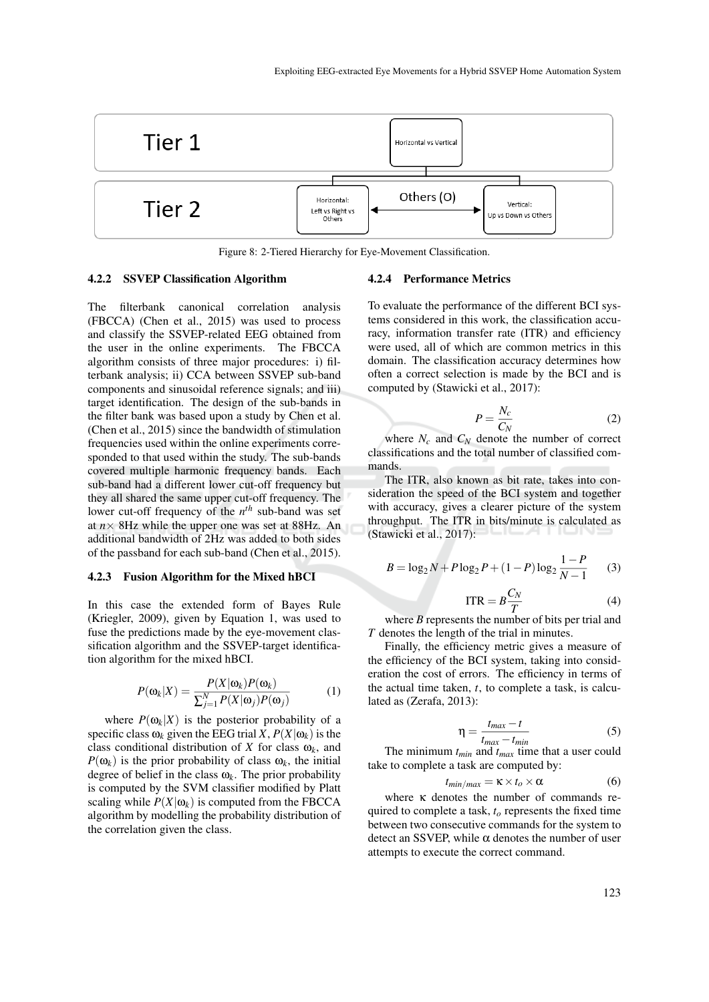

Figure 8: 2-Tiered Hierarchy for Eye-Movement Classification.

#### 4.2.2 SSVEP Classification Algorithm

The filterbank canonical correlation analysis (FBCCA) (Chen et al., 2015) was used to process and classify the SSVEP-related EEG obtained from the user in the online experiments. The FBCCA algorithm consists of three major procedures: i) filterbank analysis; ii) CCA between SSVEP sub-band components and sinusoidal reference signals; and iii) target identification. The design of the sub-bands in the filter bank was based upon a study by Chen et al. (Chen et al., 2015) since the bandwidth of stimulation frequencies used within the online experiments corresponded to that used within the study. The sub-bands covered multiple harmonic frequency bands. Each sub-band had a different lower cut-off frequency but they all shared the same upper cut-off frequency. The lower cut-off frequency of the *n th* sub-band was set at  $n \times 8$ Hz while the upper one was set at 88Hz. An additional bandwidth of 2Hz was added to both sides of the passband for each sub-band (Chen et al., 2015).

#### 4.2.3 Fusion Algorithm for the Mixed hBCI

In this case the extended form of Bayes Rule (Kriegler, 2009), given by Equation 1, was used to fuse the predictions made by the eye-movement classification algorithm and the SSVEP-target identification algorithm for the mixed hBCI.

$$
P(\omega_k|X) = \frac{P(X|\omega_k)P(\omega_k)}{\sum_{j=1}^{N} P(X|\omega_j)P(\omega_j)}
$$
(1)

where  $P(\omega_k|X)$  is the posterior probability of a specific class  $\omega_k$  given the EEG trial *X*,  $P(X|\omega_k)$  is the class conditional distribution of *X* for class  $\omega_k$ , and  $P(\omega_k)$  is the prior probability of class  $\omega_k$ , the initial degree of belief in the class  $\omega_k$ . The prior probability is computed by the SVM classifier modified by Platt scaling while  $P(X|\omega_k)$  is computed from the FBCCA algorithm by modelling the probability distribution of the correlation given the class.

#### 4.2.4 Performance Metrics

To evaluate the performance of the different BCI systems considered in this work, the classification accuracy, information transfer rate (ITR) and efficiency were used, all of which are common metrics in this domain. The classification accuracy determines how often a correct selection is made by the BCI and is computed by (Stawicki et al., 2017):

$$
P = \frac{N_c}{C_N} \tag{2}
$$

where  $N_c$  and  $C_N$  denote the number of correct classifications and the total number of classified commands.

The ITR, also known as bit rate, takes into consideration the speed of the BCI system and together with accuracy, gives a clearer picture of the system throughput. The ITR in bits/minute is calculated as (Stawicki et al., 2017):

$$
B = \log_2 N + P \log_2 P + (1 - P) \log_2 \frac{1 - P}{N - 1}
$$
 (3)

$$
ITR = B \frac{C_N}{T}
$$
 (4)

where *B* represents the number of bits per trial and *T* denotes the length of the trial in minutes.

Finally, the efficiency metric gives a measure of the efficiency of the BCI system, taking into consideration the cost of errors. The efficiency in terms of the actual time taken, *t*, to complete a task, is calculated as (Zerafa, 2013):

$$
\eta = \frac{t_{max} - t}{t_{max} - t_{min}} \tag{5}
$$

The minimum *tmin* and *tmax* time that a user could take to complete a task are computed by:

$$
t_{\min/\max} = \kappa \times t_o \times \alpha \tag{6}
$$

where κ denotes the number of commands required to complete a task, *t<sup>o</sup>* represents the fixed time between two consecutive commands for the system to detect an SSVEP, while  $\alpha$  denotes the number of user attempts to execute the correct command.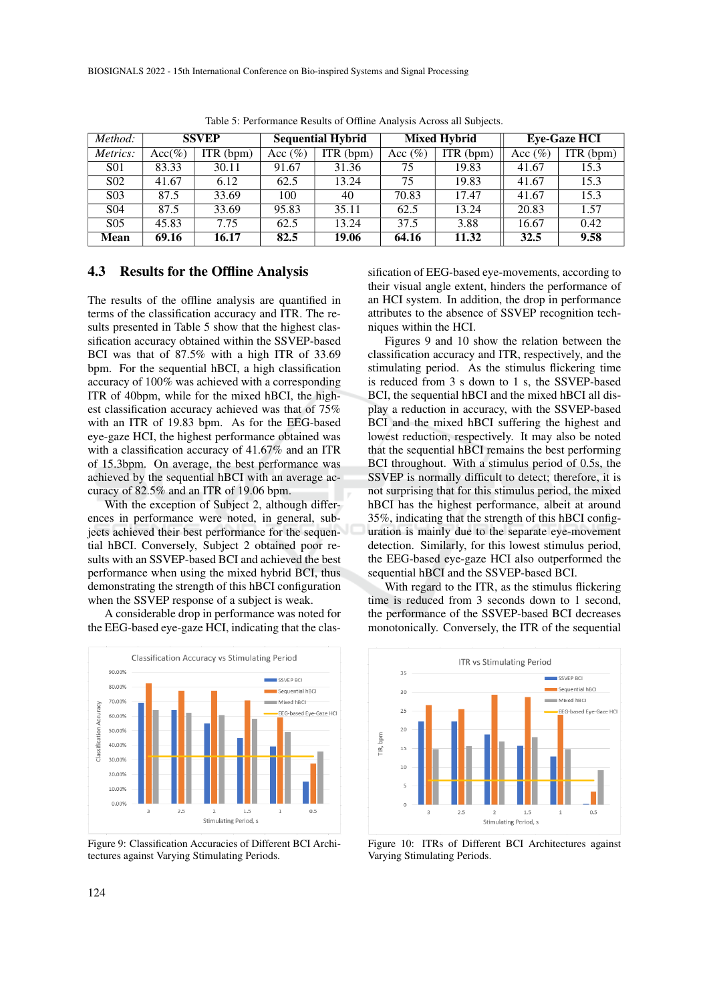| Method:          | <b>SSVEP</b> |             | <b>Sequential Hybrid</b> |           | <b>Mixed Hybrid</b> |           | <b>Eye-Gaze HCI</b> |                        |
|------------------|--------------|-------------|--------------------------|-----------|---------------------|-----------|---------------------|------------------------|
| Metrics:         | $Acc(\%)$    | $ITR$ (bpm) | Acc $(\% )$              | ITR (bpm) | Acc $(\% )$         | ITR (bpm) | Acc $(\% )$         | $\overline{ITR}$ (bpm) |
| <b>S01</b>       | 83.33        | 30.11       | 91.67                    | 31.36     | 75                  | 19.83     | 41.67               | 15.3                   |
| S <sub>0</sub> 2 | 41.67        | 6.12        | 62.5                     | 13.24     | 75                  | 19.83     | 41.67               | 15.3                   |
| S <sub>0</sub> 3 | 87.5         | 33.69       | 100                      | 40        | 70.83               | 17.47     | 41.67               | 15.3                   |
| S <sub>04</sub>  | 87.5         | 33.69       | 95.83                    | 35.11     | 62.5                | 13.24     | 20.83               | 1.57                   |
| S <sub>05</sub>  | 45.83        | 7.75        | 62.5                     | 13.24     | 37.5                | 3.88      | 16.67               | 0.42                   |
| <b>Mean</b>      | 69.16        | 16.17       | 82.5                     | 19.06     | 64.16               | 11.32     | 32.5                | 9.58                   |

Table 5: Performance Results of Offline Analysis Across all Subjects.

#### 4.3 Results for the Offline Analysis

The results of the offline analysis are quantified in terms of the classification accuracy and ITR. The results presented in Table 5 show that the highest classification accuracy obtained within the SSVEP-based BCI was that of 87.5% with a high ITR of 33.69 bpm. For the sequential hBCI, a high classification accuracy of 100% was achieved with a corresponding ITR of 40bpm, while for the mixed hBCI, the highest classification accuracy achieved was that of 75% with an ITR of 19.83 bpm. As for the EEG-based eye-gaze HCI, the highest performance obtained was with a classification accuracy of 41.67% and an ITR of 15.3bpm. On average, the best performance was achieved by the sequential hBCI with an average accuracy of 82.5% and an ITR of 19.06 bpm.

With the exception of Subject 2, although differences in performance were noted, in general, subjects achieved their best performance for the sequential hBCI. Conversely, Subject 2 obtained poor results with an SSVEP-based BCI and achieved the best performance when using the mixed hybrid BCI, thus demonstrating the strength of this hBCI configuration when the SSVEP response of a subject is weak.

A considerable drop in performance was noted for the EEG-based eye-gaze HCI, indicating that the clas-



Figure 9: Classification Accuracies of Different BCI Architectures against Varying Stimulating Periods.

sification of EEG-based eye-movements, according to their visual angle extent, hinders the performance of an HCI system. In addition, the drop in performance attributes to the absence of SSVEP recognition techniques within the HCI.

Figures 9 and 10 show the relation between the classification accuracy and ITR, respectively, and the stimulating period. As the stimulus flickering time is reduced from 3 s down to 1 s, the SSVEP-based BCI, the sequential hBCI and the mixed hBCI all display a reduction in accuracy, with the SSVEP-based BCI and the mixed hBCI suffering the highest and lowest reduction, respectively. It may also be noted that the sequential hBCI remains the best performing BCI throughout. With a stimulus period of 0.5s, the SSVEP is normally difficult to detect; therefore, it is not surprising that for this stimulus period, the mixed hBCI has the highest performance, albeit at around 35%, indicating that the strength of this hBCI configuration is mainly due to the separate eye-movement detection. Similarly, for this lowest stimulus period, the EEG-based eye-gaze HCI also outperformed the sequential hBCI and the SSVEP-based BCI.

With regard to the ITR, as the stimulus flickering time is reduced from 3 seconds down to 1 second, the performance of the SSVEP-based BCI decreases monotonically. Conversely, the ITR of the sequential



Figure 10: ITRs of Different BCI Architectures against Varying Stimulating Periods.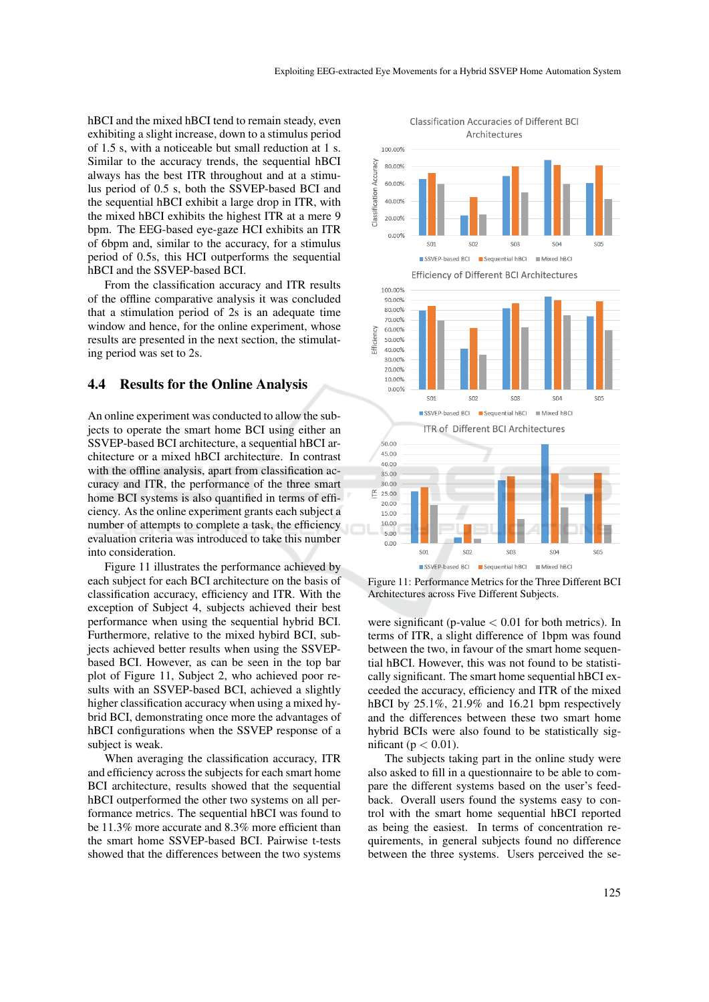hBCI and the mixed hBCI tend to remain steady, even exhibiting a slight increase, down to a stimulus period of 1.5 s, with a noticeable but small reduction at 1 s. Similar to the accuracy trends, the sequential hBCI always has the best ITR throughout and at a stimulus period of 0.5 s, both the SSVEP-based BCI and the sequential hBCI exhibit a large drop in ITR, with the mixed hBCI exhibits the highest ITR at a mere 9 bpm. The EEG-based eye-gaze HCI exhibits an ITR of 6bpm and, similar to the accuracy, for a stimulus period of 0.5s, this HCI outperforms the sequential hBCI and the SSVEP-based BCI.

From the classification accuracy and ITR results of the offline comparative analysis it was concluded that a stimulation period of 2s is an adequate time window and hence, for the online experiment, whose results are presented in the next section, the stimulating period was set to 2s.

### 4.4 Results for the Online Analysis

An online experiment was conducted to allow the subjects to operate the smart home BCI using either an SSVEP-based BCI architecture, a sequential hBCI architecture or a mixed hBCI architecture. In contrast with the offline analysis, apart from classification accuracy and ITR, the performance of the three smart home BCI systems is also quantified in terms of efficiency. As the online experiment grants each subject a number of attempts to complete a task, the efficiency evaluation criteria was introduced to take this number into consideration.

Figure 11 illustrates the performance achieved by each subject for each BCI architecture on the basis of classification accuracy, efficiency and ITR. With the exception of Subject 4, subjects achieved their best performance when using the sequential hybrid BCI. Furthermore, relative to the mixed hybird BCI, subjects achieved better results when using the SSVEPbased BCI. However, as can be seen in the top bar plot of Figure 11, Subject 2, who achieved poor results with an SSVEP-based BCI, achieved a slightly higher classification accuracy when using a mixed hybrid BCI, demonstrating once more the advantages of hBCI configurations when the SSVEP response of a subject is weak.

When averaging the classification accuracy, ITR and efficiency across the subjects for each smart home BCI architecture, results showed that the sequential hBCI outperformed the other two systems on all performance metrics. The sequential hBCI was found to be 11.3% more accurate and 8.3% more efficient than the smart home SSVEP-based BCI. Pairwise t-tests showed that the differences between the two systems

**Classification Accuracies of Different BCI** Architectures



Figure 11: Performance Metrics for the Three Different BCI Architectures across Five Different Subjects.

were significant (p-value  $< 0.01$  for both metrics). In terms of ITR, a slight difference of 1bpm was found between the two, in favour of the smart home sequential hBCI. However, this was not found to be statistically significant. The smart home sequential hBCI exceeded the accuracy, efficiency and ITR of the mixed hBCI by 25.1%, 21.9% and 16.21 bpm respectively and the differences between these two smart home hybrid BCIs were also found to be statistically significant ( $p < 0.01$ ).

The subjects taking part in the online study were also asked to fill in a questionnaire to be able to compare the different systems based on the user's feedback. Overall users found the systems easy to control with the smart home sequential hBCI reported as being the easiest. In terms of concentration requirements, in general subjects found no difference between the three systems. Users perceived the se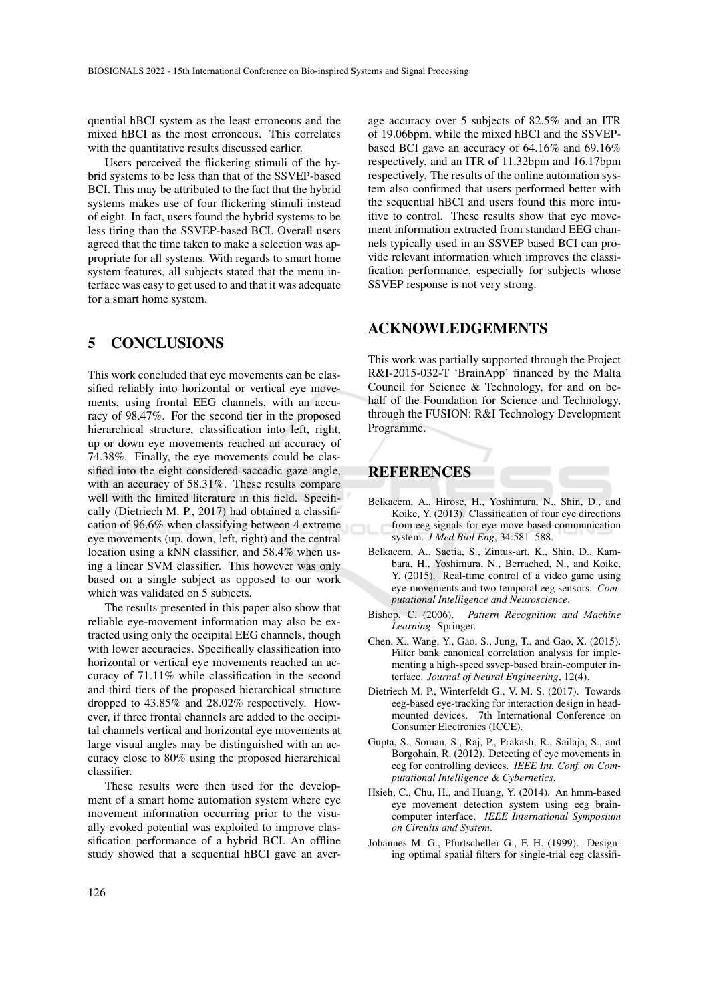quential hBCI system as the least erroneous and the mixed hBCI as the most erroneous. This correlates with the quantitative results discussed earlier.

Users perceived the flickering stimuli of the hybrid systems to be less than that of the SSVEP-based BCI. This may be attributed to the fact that the hybrid systems makes use of four flickering stimuli instead of eight. In fact, users found the hybrid systems to be less tiring than the SSVEP-based BCI. Overall users agreed that the time taken to make a selection was appropriate for all systems. With regards to smart home system features, all subjects stated that the menu interface was easy to get used to and that it was adequate for a smart home system.

# 5 CONCLUSIONS

This work concluded that eye movements can be classified reliably into horizontal or vertical eye movements, using frontal EEG channels, with an accuracy of 98.47%. For the second tier in the proposed hierarchical structure, classification into left, right, up or down eye movements reached an accuracy of 74.38%. Finally, the eye movements could be classified into the eight considered saccadic gaze angle, with an accuracy of 58.31%. These results compare well with the limited literature in this field. Specifically (Dietriech M. P., 2017) had obtained a classification of 96.6% when classifying between 4 extreme eye movements (up, down, left, right) and the central location using a kNN classifier, and 58.4% when using a linear SVM classifier. This however was only based on a single subject as opposed to our work which was validated on 5 subjects.

The results presented in this paper also show that reliable eye-movement information may also be extracted using only the occipital EEG channels, though with lower accuracies. Specifically classification into horizontal or vertical eye movements reached an accuracy of 71.11% while classification in the second and third tiers of the proposed hierarchical structure dropped to 43.85% and 28.02% respectively. However, if three frontal channels are added to the occipital channels vertical and horizontal eye movements at large visual angles may be distinguished with an accuracy close to 80% using the proposed hierarchical classifier.

These results were then used for the development of a smart home automation system where eye movement information occurring prior to the visually evoked potential was exploited to improve classification performance of a hybrid BCI. An offline study showed that a sequential hBCI gave an aver-

age accuracy over 5 subjects of 82.5% and an ITR of 19.06bpm, while the mixed hBCI and the SSVEPbased BCI gave an accuracy of 64.16% and 69.16% respectively, and an ITR of 11.32bpm and 16.17bpm respectively. The results of the online automation system also confirmed that users performed better with the sequential hBCI and users found this more intuitive to control. These results show that eye movement information extracted from standard EEG channels typically used in an SSVEP based BCI can provide relevant information which improves the classification performance, especially for subjects whose SSVEP response is not very strong.

## ACKNOWLEDGEMENTS

This work was partially supported through the Project R&I-2015-032-T 'BrainApp' financed by the Malta Council for Science & Technology, for and on behalf of the Foundation for Science and Technology, through the FUSION: R&I Technology Development Programme.

# REFERENCES

- Belkacem, A., Hirose, H., Yoshimura, N., Shin, D., and Koike, Y. (2013). Classification of four eye directions from eeg signals for eye-move-based communication system. *J Med Biol Eng*, 34:581–588.
- Belkacem, A., Saetia, S., Zintus-art, K., Shin, D., Kambara, H., Yoshimura, N., Berrached, N., and Koike, Y. (2015). Real-time control of a video game using eye-movements and two temporal eeg sensors. *Computational Intelligence and Neuroscience*.
- Bishop, C. (2006). *Pattern Recognition and Machine Learning*. Springer.
- Chen, X., Wang, Y., Gao, S., Jung, T., and Gao, X. (2015). Filter bank canonical correlation analysis for implementing a high-speed ssvep-based brain-computer interface. *Journal of Neural Engineering*, 12(4).
- Dietriech M. P., Winterfeldt G., V. M. S. (2017). Towards eeg-based eye-tracking for interaction design in headmounted devices. 7th International Conference on Consumer Electronics (ICCE).
- Gupta, S., Soman, S., Raj, P., Prakash, R., Sailaja, S., and Borgohain, R. (2012). Detecting of eye movements in eeg for controlling devices. *IEEE Int. Conf. on Computational Intelligence & Cybernetics*.
- Hsieh, C., Chu, H., and Huang, Y. (2014). An hmm-based eye movement detection system using eeg braincomputer interface. *IEEE International Symposium on Circuits and System*.
- Johannes M. G., Pfurtscheller G., F. H. (1999). Designing optimal spatial filters for single-trial eeg classifi-